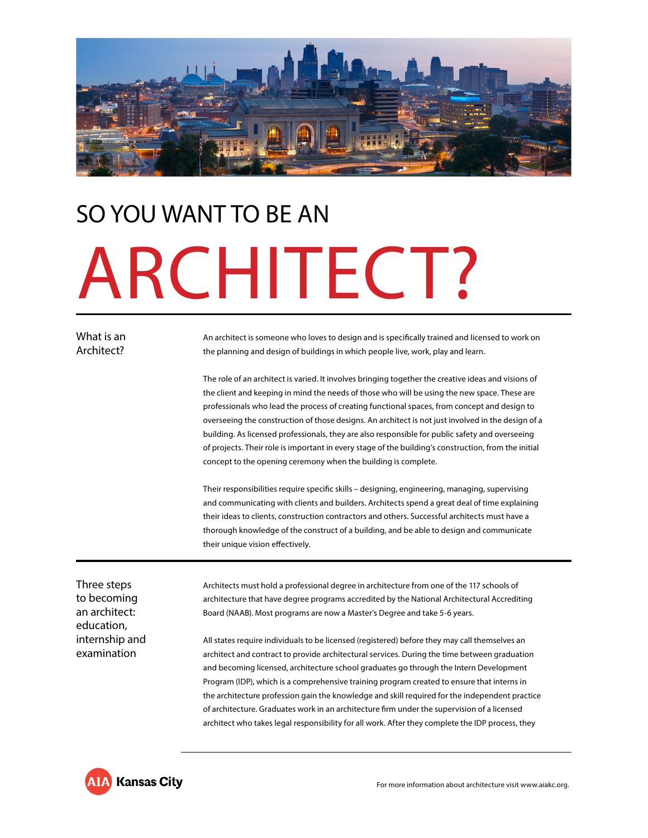

# SO YOU WANT TO BE AN ARCHITECT?

## What is an Architect?

An architect is someone who loves to design and is specifically trained and licensed to work on the planning and design of buildings in which people live, work, play and learn.

The role of an architect is varied. It involves bringing together the creative ideas and visions of the client and keeping in mind the needs of those who will be using the new space. These are professionals who lead the process of creating functional spaces, from concept and design to overseeing the construction of those designs. An architect is not just involved in the design of a building. As licensed professionals, they are also responsible for public safety and overseeing of projects. Their role is important in every stage of the building's construction, from the initial concept to the opening ceremony when the building is complete.

Their responsibilities require specific skills – designing, engineering, managing, supervising and communicating with clients and builders. Architects spend a great deal of time explaining their ideas to clients, construction contractors and others. Successful architects must have a thorough knowledge of the construct of a building, and be able to design and communicate their unique vision effectively.

Three steps to becoming an architect: education, internship and examination

Architects must hold a professional degree in architecture from one of the 117 schools of architecture that have degree programs accredited by the National Architectural Accrediting Board (NAAB). Most programs are now a Master's Degree and take 5-6 years.

All states require individuals to be licensed (registered) before they may call themselves an architect and contract to provide architectural services. During the time between graduation and becoming licensed, architecture school graduates go through the Intern Development Program (IDP), which is a comprehensive training program created to ensure that interns in the architecture profession gain the knowledge and skill required for the independent practice of architecture. Graduates work in an architecture firm under the supervision of a licensed architect who takes legal responsibility for all work. After they complete the IDP process, they